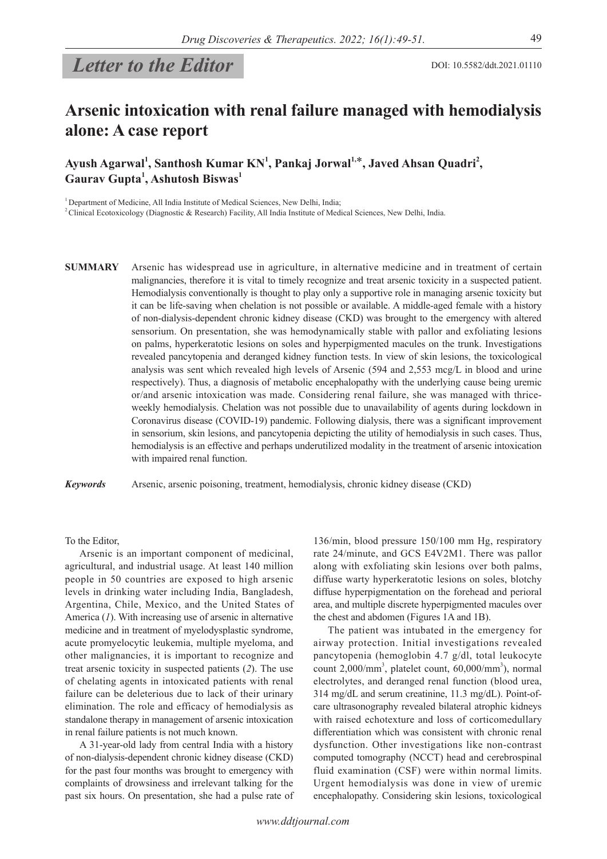# *Letter to the Editor*

## **Arsenic intoxication with renal failure managed with hemodialysis alone: A case report**

Ayush Agarwal<sup>1</sup>, Santhosh Kumar KN<sup>1</sup>, Pankaj Jorwal<sup>1,\*</sup>, Javed Ahsan Quadri<sup>2</sup>, **Gaurav Gupta1 , Ashutosh Biswas<sup>1</sup>**

<sup>1</sup> Department of Medicine, All India Institute of Medical Sciences, New Delhi, India;

<sup>2</sup> Clinical Ecotoxicology (Diagnostic & Research) Facility, All India Institute of Medical Sciences, New Delhi, India.

**SUMMARY** Arsenic has widespread use in agriculture, in alternative medicine and in treatment of certain malignancies, therefore it is vital to timely recognize and treat arsenic toxicity in a suspected patient. Hemodialysis conventionally is thought to play only a supportive role in managing arsenic toxicity but it can be life-saving when chelation is not possible or available. A middle-aged female with a history of non-dialysis-dependent chronic kidney disease (CKD) was brought to the emergency with altered sensorium. On presentation, she was hemodynamically stable with pallor and exfoliating lesions on palms, hyperkeratotic lesions on soles and hyperpigmented macules on the trunk. Investigations revealed pancytopenia and deranged kidney function tests. In view of skin lesions, the toxicological analysis was sent which revealed high levels of Arsenic (594 and 2,553 mcg/L in blood and urine respectively). Thus, a diagnosis of metabolic encephalopathy with the underlying cause being uremic or/and arsenic intoxication was made. Considering renal failure, she was managed with thriceweekly hemodialysis. Chelation was not possible due to unavailability of agents during lockdown in Coronavirus disease (COVID-19) pandemic. Following dialysis, there was a significant improvement in sensorium, skin lesions, and pancytopenia depicting the utility of hemodialysis in such cases. Thus, hemodialysis is an effective and perhaps underutilized modality in the treatment of arsenic intoxication with impaired renal function.

*Keywords* Arsenic, arsenic poisoning, treatment, hemodialysis, chronic kidney disease (CKD)

To the Editor,

Arsenic is an important component of medicinal, agricultural, and industrial usage. At least 140 million people in 50 countries are exposed to high arsenic levels in drinking water including India, Bangladesh, Argentina, Chile, Mexico, and the United States of America (*1*). With increasing use of arsenic in alternative medicine and in treatment of myelodysplastic syndrome, acute promyelocytic leukemia, multiple myeloma, and other malignancies, it is important to recognize and treat arsenic toxicity in suspected patients (*2*). The use of chelating agents in intoxicated patients with renal failure can be deleterious due to lack of their urinary elimination. The role and efficacy of hemodialysis as standalone therapy in management of arsenic intoxication in renal failure patients is not much known.

A 31-year-old lady from central India with a history of non-dialysis-dependent chronic kidney disease (CKD) for the past four months was brought to emergency with complaints of drowsiness and irrelevant talking for the past six hours. On presentation, she had a pulse rate of 136/min, blood pressure 150/100 mm Hg, respiratory rate 24/minute, and GCS E4V2M1. There was pallor along with exfoliating skin lesions over both palms, diffuse warty hyperkeratotic lesions on soles, blotchy diffuse hyperpigmentation on the forehead and perioral area, and multiple discrete hyperpigmented macules over the chest and abdomen (Figures 1A and 1B).

The patient was intubated in the emergency for airway protection. Initial investigations revealed pancytopenia (hemoglobin 4.7 g/dl, total leukocyte count 2,000/mm<sup>3</sup>, platelet count, 60,000/mm<sup>3</sup>), normal electrolytes, and deranged renal function (blood urea, 314 mg/dL and serum creatinine, 11.3 mg/dL). Point-ofcare ultrasonography revealed bilateral atrophic kidneys with raised echotexture and loss of corticomedullary differentiation which was consistent with chronic renal dysfunction. Other investigations like non-contrast computed tomography (NCCT) head and cerebrospinal fluid examination (CSF) were within normal limits. Urgent hemodialysis was done in view of uremic encephalopathy. Considering skin lesions, toxicological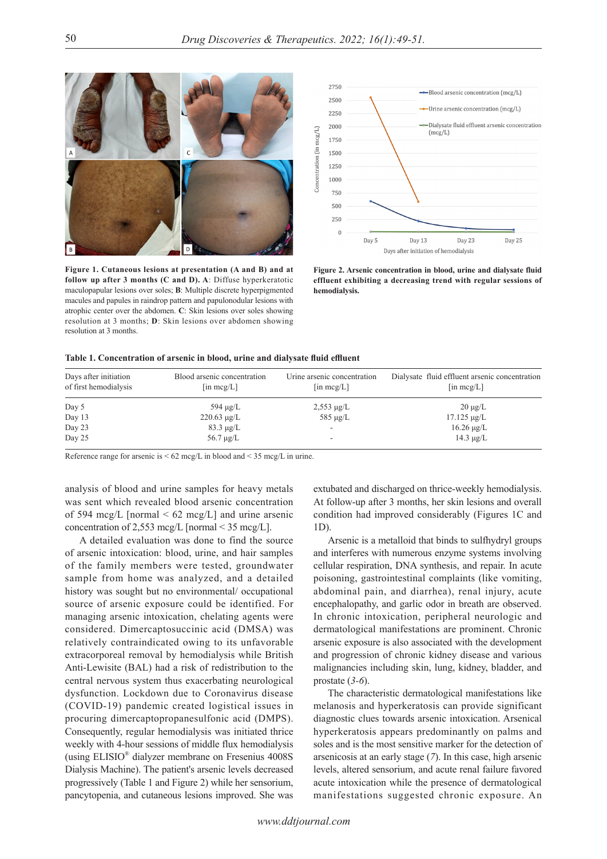

**Figure 1. Cutaneous lesions at presentation (A and B) and at follow up after 3 months (C and D). A**: Diffuse hyperkeratotic maculopapular lesions over soles; **B**: Multiple discrete hyperpigmented macules and papules in raindrop pattern and papulonodular lesions with atrophic center over the abdomen. **C**: Skin lesions over soles showing resolution at 3 months; **D**: Skin lesions over abdomen showing resolution at 3 months.



**Figure 2. Arsenic concentration in blood, urine and dialysate fluid effluent exhibiting a decreasing trend with regular sessions of hemodialysis.** 

| Table 1. Concentration of arsenic in blood, urine and dialysate fluid effluent |  |  |
|--------------------------------------------------------------------------------|--|--|
|                                                                                |  |  |

| Days after initiation<br>of first hemodialysis | Blood arsenic concentration<br>$\left[\text{in } \text{mcg/L}\right]$ | Urine arsenic concentration<br>$\left[\text{in } \text{mcg/L}\right]$ | Dialysate fluid effluent arsenic concentration<br>$\left[\text{in } \text{mcg/L}\right]$ |
|------------------------------------------------|-----------------------------------------------------------------------|-----------------------------------------------------------------------|------------------------------------------------------------------------------------------|
| Day 5                                          | 594 $\mu$ g/L                                                         | $2,553 \mu g/L$                                                       | $20 \mu g/L$                                                                             |
| Day 13                                         | $220.63 \mu g/L$                                                      | $585 \mu g/L$                                                         | $17.125 \mu g/L$                                                                         |
| Day 23                                         | $83.3 \mu g/L$                                                        | ÷.                                                                    | $16.26 \mu g/L$                                                                          |
| Day 25                                         | $56.7 \mu g/L$                                                        |                                                                       | $14.3 \mu g/L$                                                                           |

Reference range for arsenic is  $\leq 62 \text{~meg/L}$  in blood and  $\leq 35 \text{~meg/L}$  in urine.

analysis of blood and urine samples for heavy metals was sent which revealed blood arsenic concentration of 594 mcg/L [normal  $\leq 62$  mcg/L] and urine arsenic concentration of 2,553 mcg/L [normal < 35 mcg/L].

A detailed evaluation was done to find the source of arsenic intoxication: blood, urine, and hair samples of the family members were tested, groundwater sample from home was analyzed, and a detailed history was sought but no environmental/ occupational source of arsenic exposure could be identified. For managing arsenic intoxication, chelating agents were considered. Dimercaptosuccinic acid (DMSA) was relatively contraindicated owing to its unfavorable extracorporeal removal by hemodialysis while British Anti-Lewisite (BAL) had a risk of redistribution to the central nervous system thus exacerbating neurological dysfunction. Lockdown due to Coronavirus disease (COVID-19) pandemic created logistical issues in procuring dimercaptopropanesulfonic acid (DMPS). Consequently, regular hemodialysis was initiated thrice weekly with 4-hour sessions of middle flux hemodialysis (using ELISIO® dialyzer membrane on Fresenius 4008S Dialysis Machine). The patient's arsenic levels decreased progressively (Table 1 and Figure 2) while her sensorium, pancytopenia, and cutaneous lesions improved. She was

extubated and discharged on thrice-weekly hemodialysis. At follow-up after 3 months, her skin lesions and overall condition had improved considerably (Figures 1C and 1D).

Arsenic is a metalloid that binds to sulfhydryl groups and interferes with numerous enzyme systems involving cellular respiration, DNA synthesis, and repair. In acute poisoning, gastrointestinal complaints (like vomiting, abdominal pain, and diarrhea), renal injury, acute encephalopathy, and garlic odor in breath are observed. In chronic intoxication, peripheral neurologic and dermatological manifestations are prominent. Chronic arsenic exposure is also associated with the development and progression of chronic kidney disease and various malignancies including skin, lung, kidney, bladder, and prostate (*3-6*).

The characteristic dermatological manifestations like melanosis and hyperkeratosis can provide significant diagnostic clues towards arsenic intoxication. Arsenical hyperkeratosis appears predominantly on palms and soles and is the most sensitive marker for the detection of arsenicosis at an early stage (*7*). In this case, high arsenic levels, altered sensorium, and acute renal failure favored acute intoxication while the presence of dermatological manifestations suggested chronic exposure. An